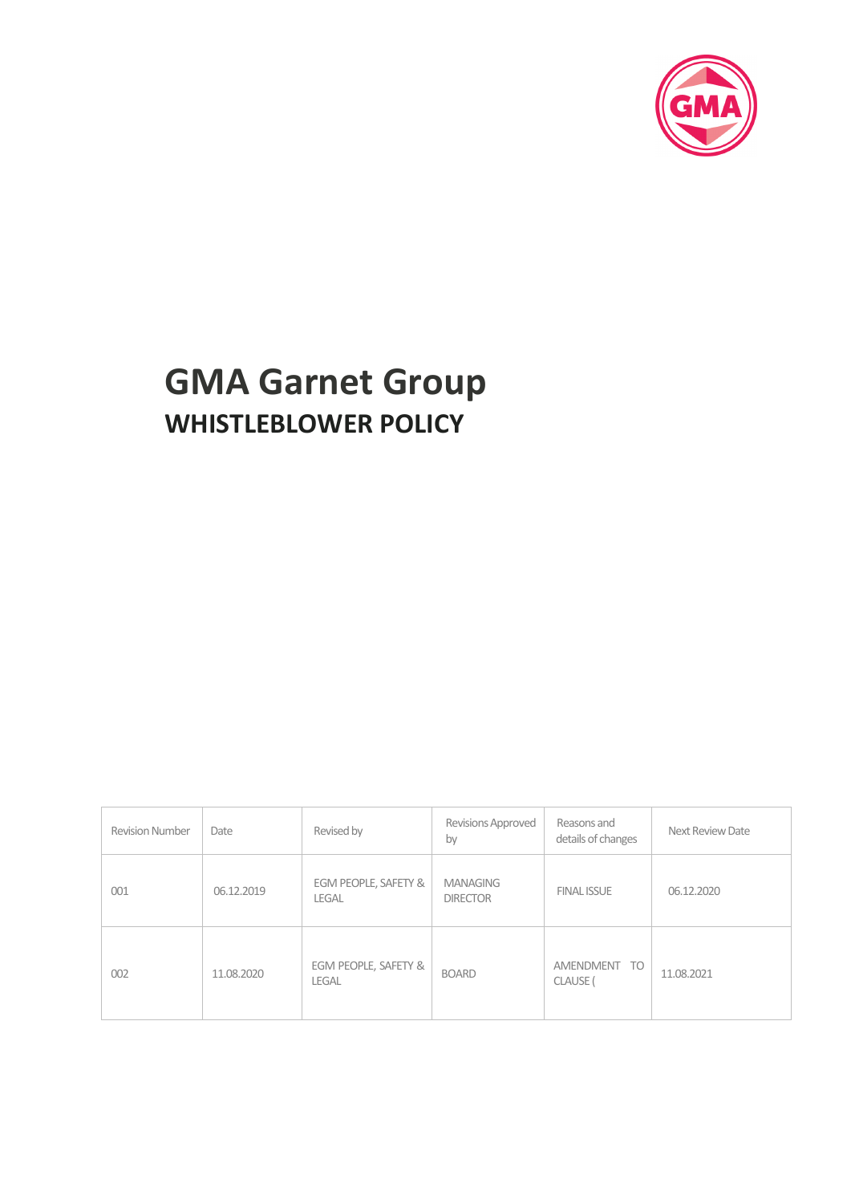

# **GMA Garnet Group WHISTLEBLOWER POLICY**

| <b>Revision Number</b> | Date       | Revised by                           | <b>Revisions Approved</b><br>by    | Reasons and<br>details of changes | Next Review Date |
|------------------------|------------|--------------------------------------|------------------------------------|-----------------------------------|------------------|
| 001                    | 06.12.2019 | EGM PEOPLE, SAFETY &<br><b>LEGAL</b> | <b>MANAGING</b><br><b>DIRECTOR</b> | <b>FINAL ISSUE</b>                | 06.12.2020       |
| 002                    | 11.08.2020 | EGM PEOPLE, SAFETY &<br><b>LEGAL</b> | <b>BOARD</b>                       | AMENDMENT TO<br>CLAUSE (          | 11.08.2021       |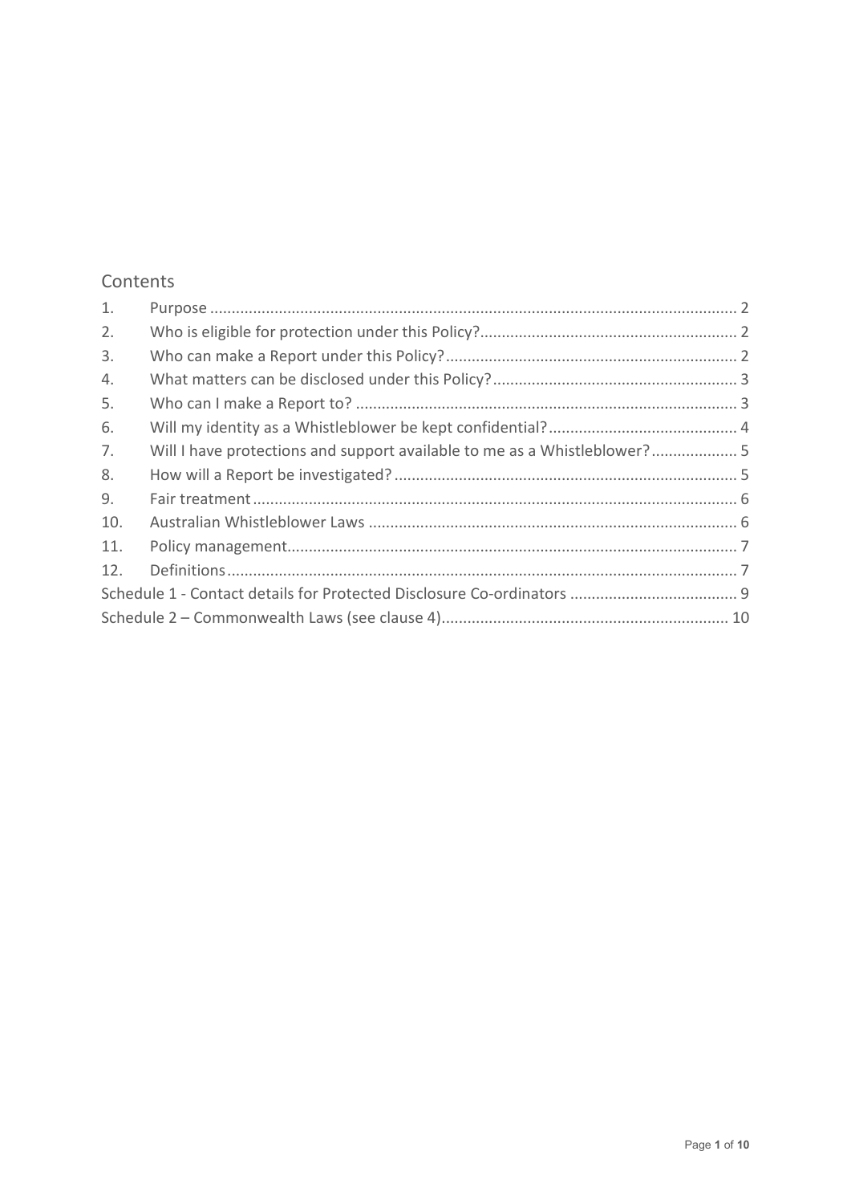# Contents

| 1.  |                                                                          |  |  |  |
|-----|--------------------------------------------------------------------------|--|--|--|
| 2.  |                                                                          |  |  |  |
| 3.  |                                                                          |  |  |  |
| 4.  |                                                                          |  |  |  |
| 5.  |                                                                          |  |  |  |
| 6.  |                                                                          |  |  |  |
| 7.  | Will I have protections and support available to me as a Whistleblower?5 |  |  |  |
| 8.  |                                                                          |  |  |  |
| 9.  |                                                                          |  |  |  |
| 10. |                                                                          |  |  |  |
| 11. |                                                                          |  |  |  |
| 12. |                                                                          |  |  |  |
|     |                                                                          |  |  |  |
|     |                                                                          |  |  |  |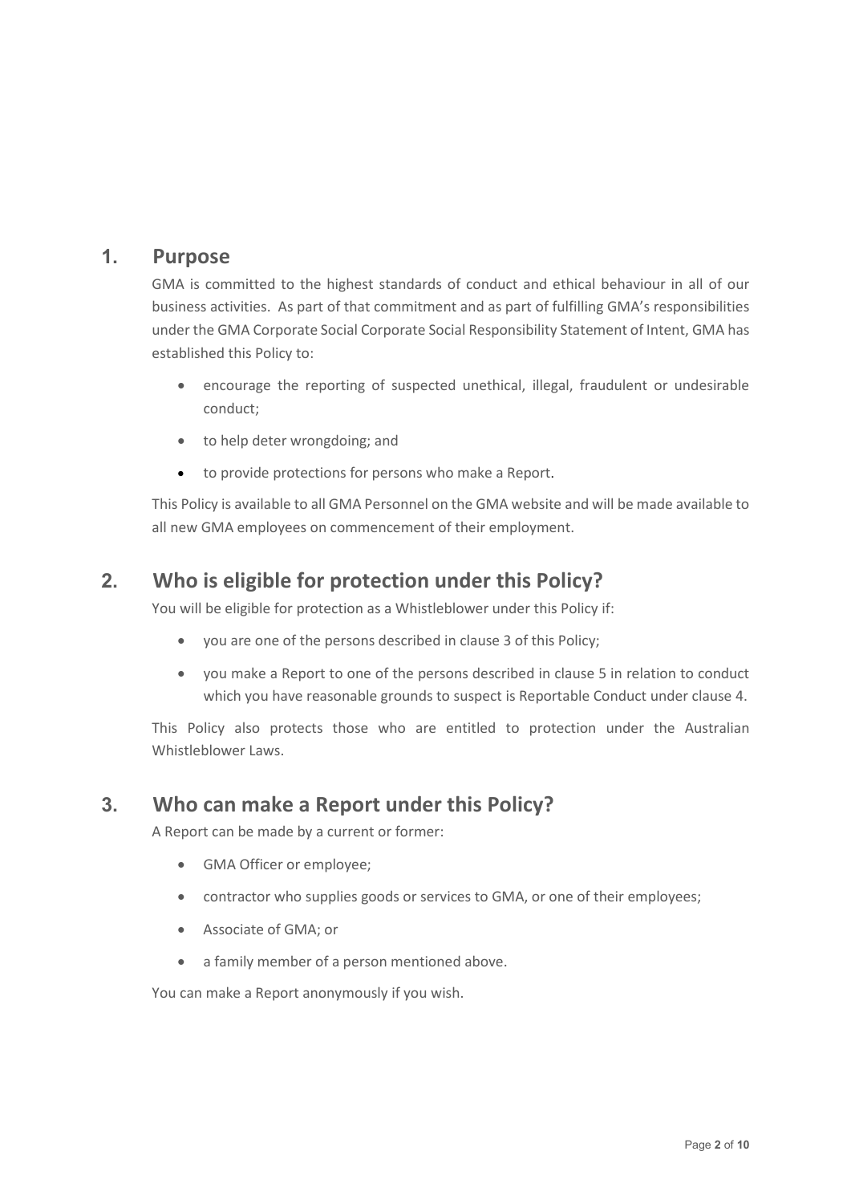## <span id="page-2-0"></span>**1. Purpose**

GMA is committed to the highest standards of conduct and ethical behaviour in all of our business activities. As part of that commitment and as part of fulfilling GMA's responsibilities under the GMA Corporate Social Corporate Social Responsibility Statement of Intent, GMA has established this Policy to:

- encourage the reporting of suspected unethical, illegal, fraudulent or undesirable conduct;
- to help deter wrongdoing; and
- to provide protections for persons who make a Report.

This Policy is available to all GMA Personnel on the GMA website and will be made available to all new GMA employees on commencement of their employment.

# <span id="page-2-1"></span>**2. Who is eligible for protection under this Policy?**

You will be eligible for protection as a Whistleblower under this Policy if:

- you are one of the persons described in clause 3 of this Policy;
- you make a Report to one of the persons described in clause 5 in relation to conduct which you have reasonable grounds to suspect is Reportable Conduct under clause 4.

This Policy also protects those who are entitled to protection under the Australian Whistleblower Laws.

## <span id="page-2-2"></span>**3. Who can make a Report under this Policy?**

A Report can be made by a current or former:

- GMA Officer or employee;
- contractor who supplies goods or services to GMA, or one of their employees;
- Associate of GMA; or
- a family member of a person mentioned above.

You can make a Report anonymously if you wish.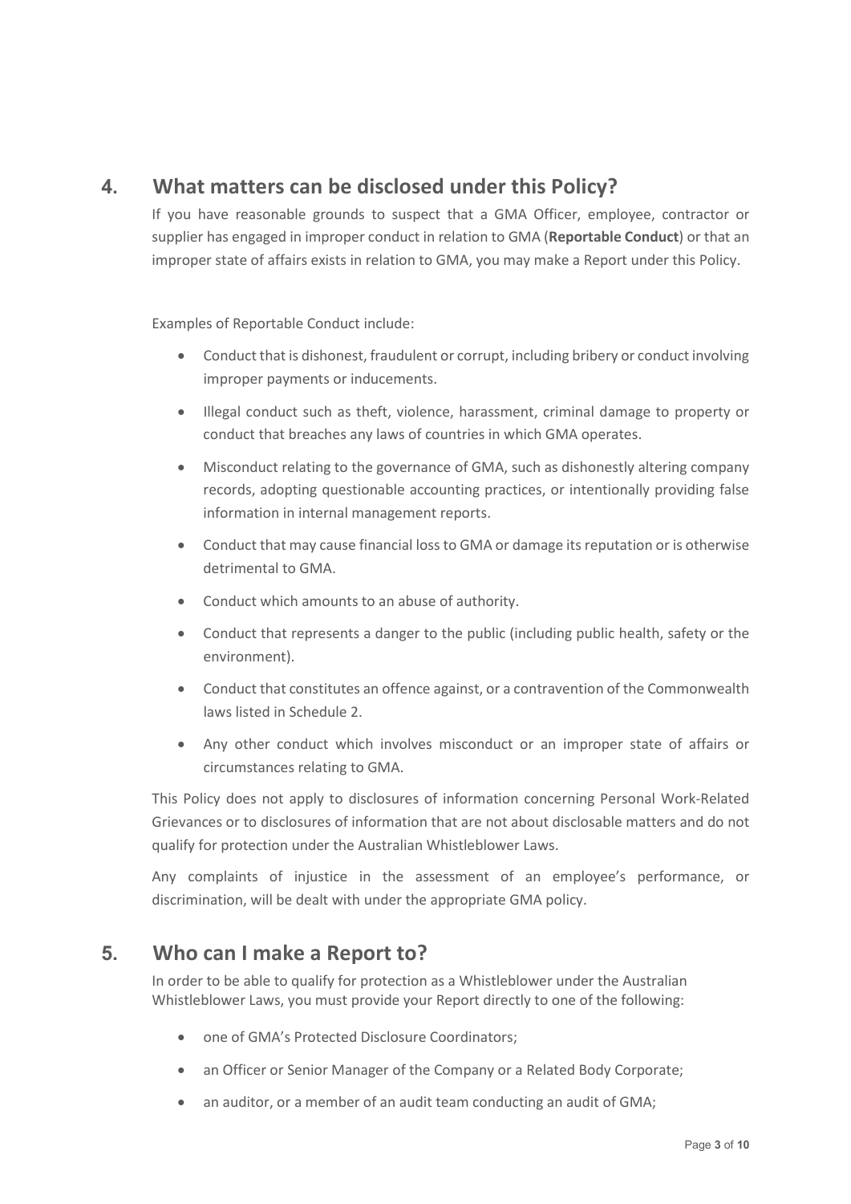# <span id="page-3-0"></span>**4. What matters can be disclosed under this Policy?**

If you have reasonable grounds to suspect that a GMA Officer, employee, contractor or supplier has engaged in improper conduct in relation to GMA (**Reportable Conduct**) or that an improper state of affairs exists in relation to GMA, you may make a Report under this Policy.

Examples of Reportable Conduct include:

- Conduct that is dishonest, fraudulent or corrupt, including bribery or conduct involving improper payments or inducements.
- Illegal conduct such as theft, violence, harassment, criminal damage to property or conduct that breaches any laws of countries in which GMA operates.
- Misconduct relating to the governance of GMA, such as dishonestly altering company records, adopting questionable accounting practices, or intentionally providing false information in internal management reports.
- Conduct that may cause financial loss to GMA or damage its reputation or is otherwise detrimental to GMA.
- Conduct which amounts to an abuse of authority.
- Conduct that represents a danger to the public (including public health, safety or the environment).
- Conduct that constitutes an offence against, or a contravention of the Commonwealth laws listed in Schedule 2.
- Any other conduct which involves misconduct or an improper state of affairs or circumstances relating to GMA.

This Policy does not apply to disclosures of information concerning Personal Work-Related Grievances or to disclosures of information that are not about disclosable matters and do not qualify for protection under the Australian Whistleblower Laws.

Any complaints of injustice in the assessment of an employee's performance, or discrimination, will be dealt with under the appropriate GMA policy.

## <span id="page-3-1"></span>**5. Who can I make a Report to?**

In order to be able to qualify for protection as a Whistleblower under the Australian Whistleblower Laws, you must provide your Report directly to one of the following:

- one of GMA's Protected Disclosure Coordinators;
- an Officer or Senior Manager of the Company or a Related Body Corporate;
- an auditor, or a member of an audit team conducting an audit of GMA;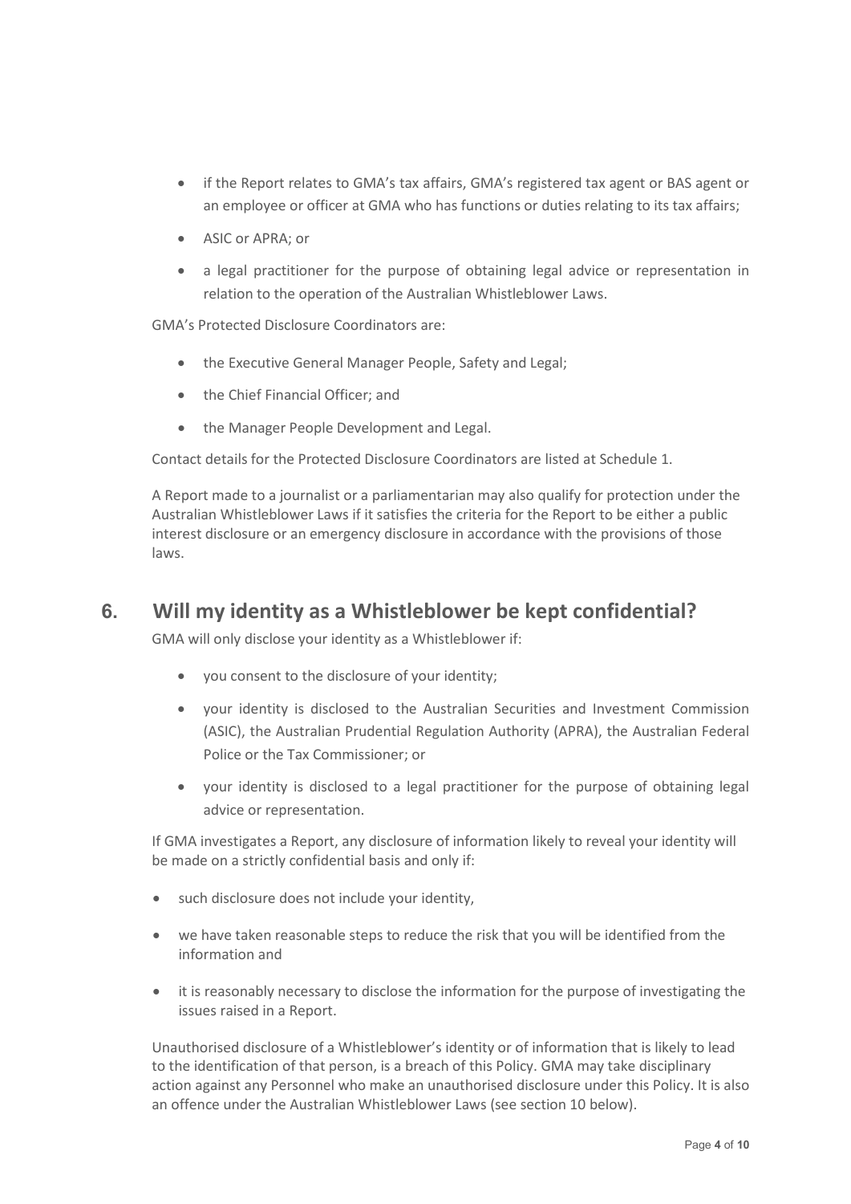- if the Report relates to GMA's tax affairs, GMA's registered tax agent or BAS agent or an employee or officer at GMA who has functions or duties relating to its tax affairs;
- ASIC or APRA; or
- a legal practitioner for the purpose of obtaining legal advice or representation in relation to the operation of the Australian Whistleblower Laws.

GMA's Protected Disclosure Coordinators are:

- the Executive General Manager People, Safety and Legal;
- the Chief Financial Officer; and
- the Manager People Development and Legal.

Contact details for the Protected Disclosure Coordinators are listed at Schedule 1.

A Report made to a journalist or a parliamentarian may also qualify for protection under the Australian Whistleblower Laws if it satisfies the criteria for the Report to be either a public interest disclosure or an emergency disclosure in accordance with the provisions of those laws.

## <span id="page-4-0"></span>**6. Will my identity as a Whistleblower be kept confidential?**

GMA will only disclose your identity as a Whistleblower if:

- you consent to the disclosure of your identity;
- your identity is disclosed to the Australian Securities and Investment Commission (ASIC), the Australian Prudential Regulation Authority (APRA), the Australian Federal Police or the Tax Commissioner; or
- your identity is disclosed to a legal practitioner for the purpose of obtaining legal advice or representation.

If GMA investigates a Report, any disclosure of information likely to reveal your identity will be made on a strictly confidential basis and only if:

- such disclosure does not include your identity,
- we have taken reasonable steps to reduce the risk that you will be identified from the information and
- it is reasonably necessary to disclose the information for the purpose of investigating the issues raised in a Report.

Unauthorised disclosure of a Whistleblower's identity or of information that is likely to lead to the identification of that person, is a breach of this Policy. GMA may take disciplinary action against any Personnel who make an unauthorised disclosure under this Policy. It is also an offence under the Australian Whistleblower Laws (see section 10 below).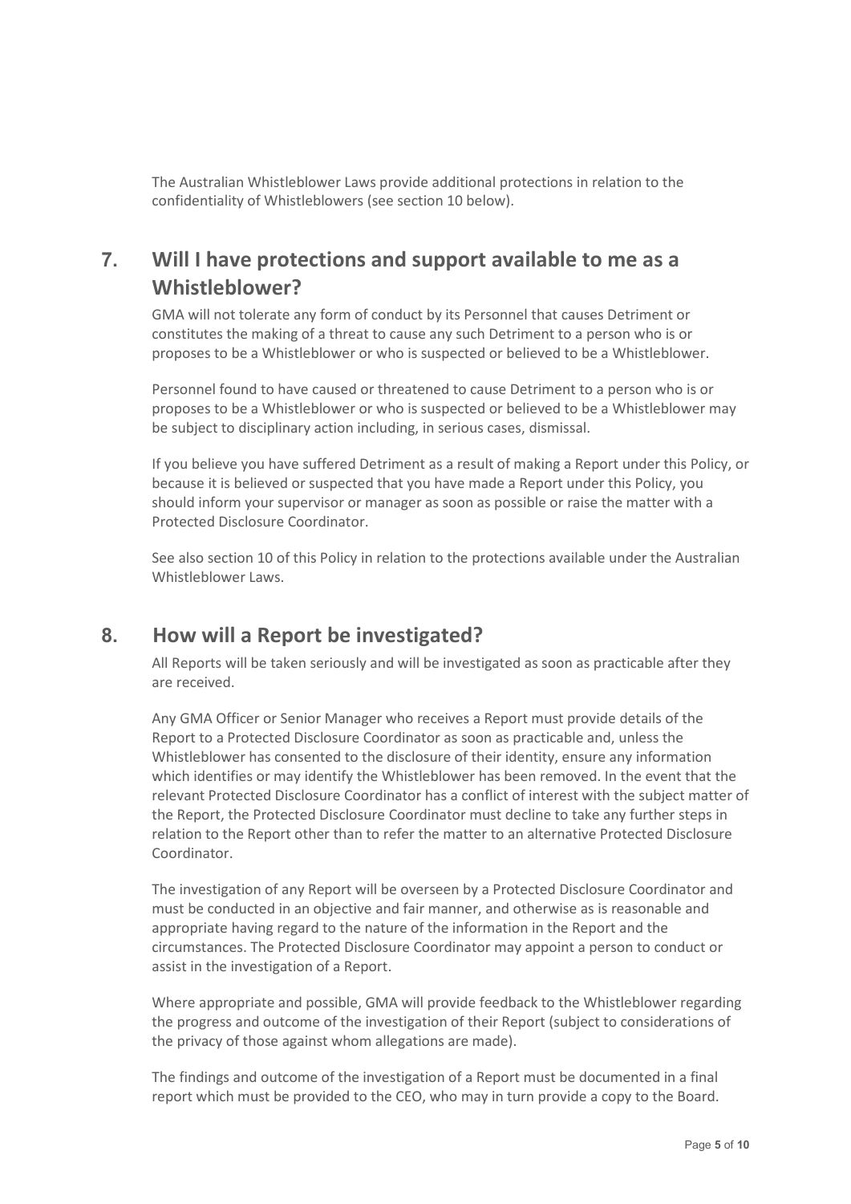The Australian Whistleblower Laws provide additional protections in relation to the confidentiality of Whistleblowers (see section 10 below).

# <span id="page-5-0"></span>**7. Will I have protections and support available to me as a Whistleblower?**

GMA will not tolerate any form of conduct by its Personnel that causes Detriment or constitutes the making of a threat to cause any such Detriment to a person who is or proposes to be a Whistleblower or who is suspected or believed to be a Whistleblower.

Personnel found to have caused or threatened to cause Detriment to a person who is or proposes to be a Whistleblower or who is suspected or believed to be a Whistleblower may be subject to disciplinary action including, in serious cases, dismissal.

If you believe you have suffered Detriment as a result of making a Report under this Policy, or because it is believed or suspected that you have made a Report under this Policy, you should inform your supervisor or manager as soon as possible or raise the matter with a Protected Disclosure Coordinator.

See also section 10 of this Policy in relation to the protections available under the Australian Whistleblower Laws.

## <span id="page-5-1"></span>**8. How will a Report be investigated?**

All Reports will be taken seriously and will be investigated as soon as practicable after they are received.

Any GMA Officer or Senior Manager who receives a Report must provide details of the Report to a Protected Disclosure Coordinator as soon as practicable and, unless the Whistleblower has consented to the disclosure of their identity, ensure any information which identifies or may identify the Whistleblower has been removed. In the event that the relevant Protected Disclosure Coordinator has a conflict of interest with the subject matter of the Report, the Protected Disclosure Coordinator must decline to take any further steps in relation to the Report other than to refer the matter to an alternative Protected Disclosure Coordinator.

The investigation of any Report will be overseen by a Protected Disclosure Coordinator and must be conducted in an objective and fair manner, and otherwise as is reasonable and appropriate having regard to the nature of the information in the Report and the circumstances. The Protected Disclosure Coordinator may appoint a person to conduct or assist in the investigation of a Report.

Where appropriate and possible, GMA will provide feedback to the Whistleblower regarding the progress and outcome of the investigation of their Report (subject to considerations of the privacy of those against whom allegations are made).

The findings and outcome of the investigation of a Report must be documented in a final report which must be provided to the CEO, who may in turn provide a copy to the Board.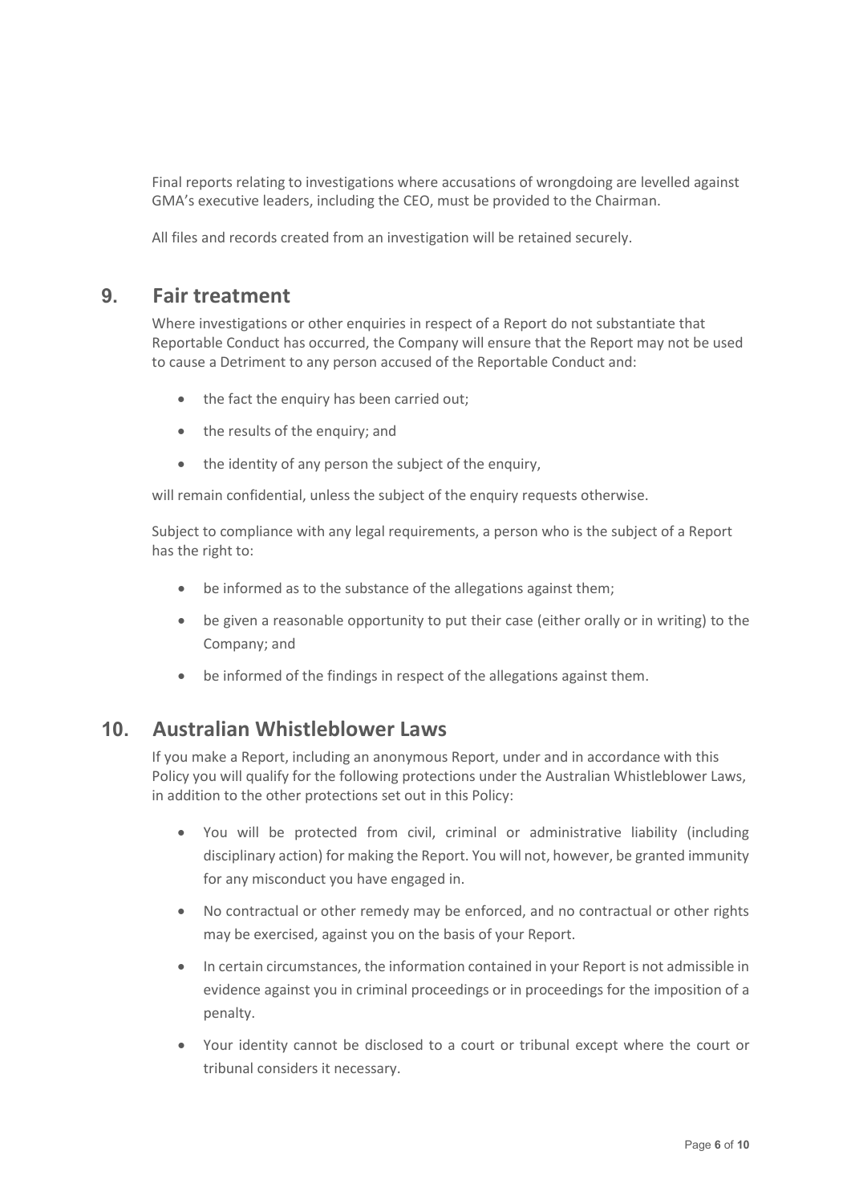Final reports relating to investigations where accusations of wrongdoing are levelled against GMA's executive leaders, including the CEO, must be provided to the Chairman.

All files and records created from an investigation will be retained securely.

#### <span id="page-6-0"></span>**9. Fair treatment**

Where investigations or other enquiries in respect of a Report do not substantiate that Reportable Conduct has occurred, the Company will ensure that the Report may not be used to cause a Detriment to any person accused of the Reportable Conduct and:

- the fact the enquiry has been carried out;
- the results of the enquiry; and
- the identity of any person the subject of the enquiry,

will remain confidential, unless the subject of the enquiry requests otherwise.

Subject to compliance with any legal requirements, a person who is the subject of a Report has the right to:

- be informed as to the substance of the allegations against them;
- be given a reasonable opportunity to put their case (either orally or in writing) to the Company; and
- be informed of the findings in respect of the allegations against them.

## <span id="page-6-1"></span>**10. Australian Whistleblower Laws**

If you make a Report, including an anonymous Report, under and in accordance with this Policy you will qualify for the following protections under the Australian Whistleblower Laws, in addition to the other protections set out in this Policy:

- You will be protected from civil, criminal or administrative liability (including disciplinary action) for making the Report. You will not, however, be granted immunity for any misconduct you have engaged in.
- No contractual or other remedy may be enforced, and no contractual or other rights may be exercised, against you on the basis of your Report.
- In certain circumstances, the information contained in your Report is not admissible in evidence against you in criminal proceedings or in proceedings for the imposition of a penalty.
- Your identity cannot be disclosed to a court or tribunal except where the court or tribunal considers it necessary.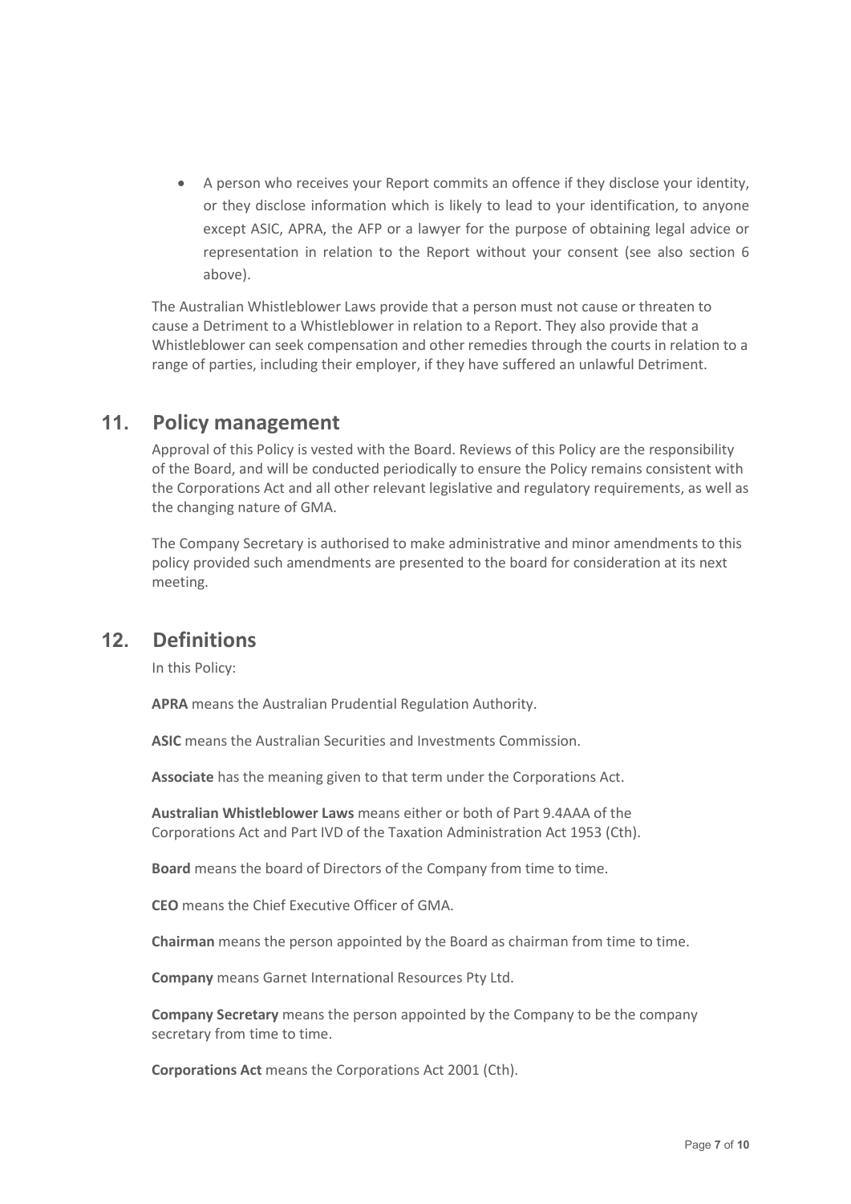• A person who receives your Report commits an offence if they disclose your identity, or they disclose information which is likely to lead to your identification, to anyone except ASIC, APRA, the AFP or a lawyer for the purpose of obtaining legal advice or representation in relation to the Report without your consent (see also section 6 above).

The Australian Whistleblower Laws provide that a person must not cause or threaten to cause a Detriment to a Whistleblower in relation to a Report. They also provide that a Whistleblower can seek compensation and other remedies through the courts in relation to a range of parties, including their employer, if they have suffered an unlawful Detriment.

## <span id="page-7-0"></span>**11. Policy management**

Approval of this Policy is vested with the Board. Reviews of this Policy are the responsibility of the Board, and will be conducted periodically to ensure the Policy remains consistent with the Corporations Act and all other relevant legislative and regulatory requirements, as well as the changing nature of GMA.

The Company Secretary is authorised to make administrative and minor amendments to this policy provided such amendments are presented to the board for consideration at its next meeting.

## <span id="page-7-1"></span>**12. Definitions**

In this Policy:

**APRA** means the Australian Prudential Regulation Authority.

**ASIC** means the Australian Securities and Investments Commission.

**Associate** has the meaning given to that term under the Corporations Act.

**Australian Whistleblower Laws** means either or both of Part 9.4AAA of the Corporations Act and Part IVD of the Taxation Administration Act 1953 (Cth).

**Board** means the board of Directors of the Company from time to time.

**CEO** means the Chief Executive Officer of GMA.

**Chairman** means the person appointed by the Board as chairman from time to time.

**Company** means Garnet International Resources Pty Ltd.

**Company Secretary** means the person appointed by the Company to be the company secretary from time to time.

**Corporations Act** means the Corporations Act 2001 (Cth).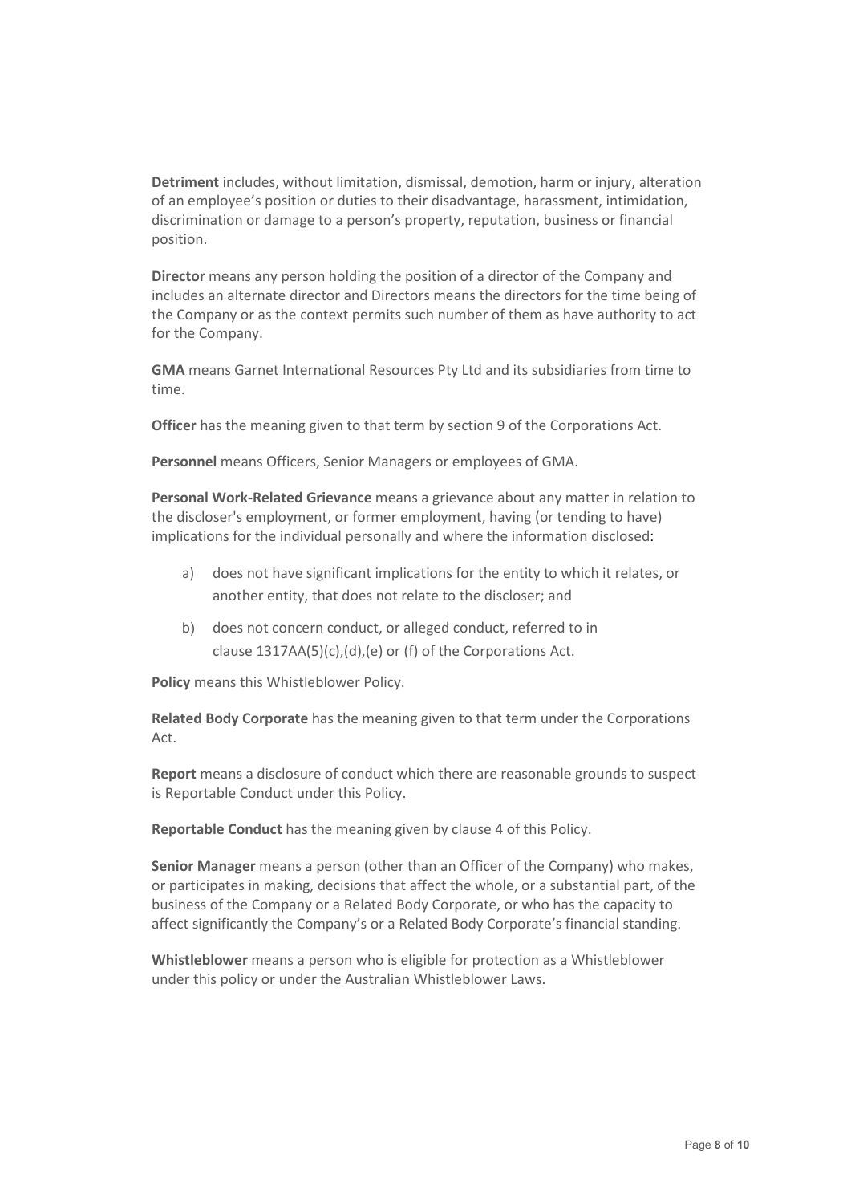**Detriment** includes, without limitation, dismissal, demotion, harm or injury, alteration of an employee's position or duties to their disadvantage, harassment, intimidation, discrimination or damage to a person's property, reputation, business or financial position.

**Director** means any person holding the position of a director of the Company and includes an alternate director and Directors means the directors for the time being of the Company or as the context permits such number of them as have authority to act for the Company.

**GMA** means Garnet International Resources Pty Ltd and its subsidiaries from time to time.

**Officer** has the meaning given to that term by section 9 of the Corporations Act.

**Personnel** means Officers, Senior Managers or employees of GMA.

**Personal Work-Related Grievance** means a grievance about any matter in relation to the discloser's employment, or former employment, having (or tending to have) implications for the individual personally and where the information disclosed:

- a) does not have significant implications for the entity to which it relates, or another entity, that does not relate to the discloser; and
- b) does not concern conduct, or alleged conduct, referred to in clause 1317AA(5)(c),(d),(e) or (f) of the Corporations Act.

**Policy** means this Whistleblower Policy.

**Related Body Corporate** has the meaning given to that term under the Corporations Act.

**Report** means a disclosure of conduct which there are reasonable grounds to suspect is Reportable Conduct under this Policy.

**Reportable Conduct** has the meaning given by clause 4 of this Policy.

**Senior Manager** means a person (other than an Officer of the Company) who makes, or participates in making, decisions that affect the whole, or a substantial part, of the business of the Company or a Related Body Corporate, or who has the capacity to affect significantly the Company's or a Related Body Corporate's financial standing.

**Whistleblower** means a person who is eligible for protection as a Whistleblower under this policy or under the Australian Whistleblower Laws.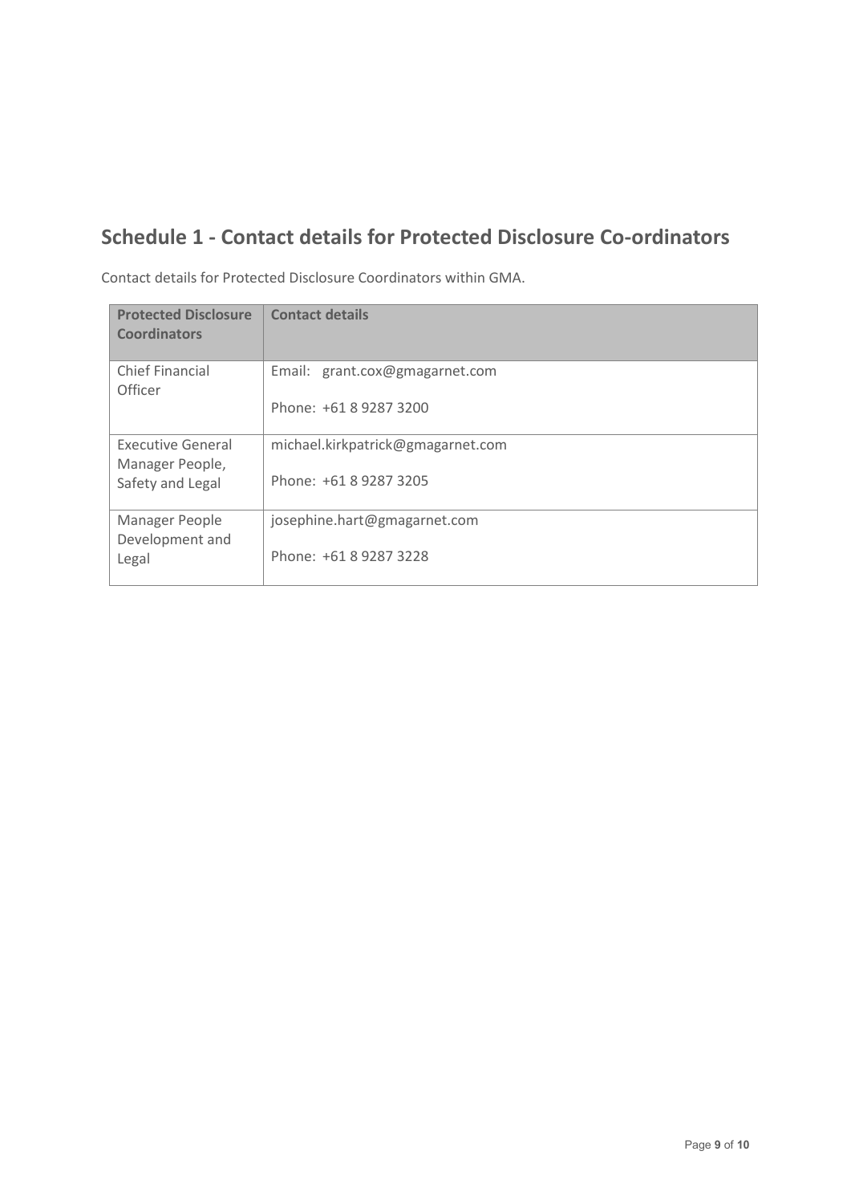# <span id="page-9-0"></span>**Schedule 1 - Contact details for Protected Disclosure Co-ordinators**

| <b>Protected Disclosure</b><br><b>Coordinators</b> | <b>Contact details</b>            |
|----------------------------------------------------|-----------------------------------|
| <b>Chief Financial</b><br>Officer                  | Email: grant.cox@gmagarnet.com    |
|                                                    | Phone: +61 8 9287 3200            |
| <b>Executive General</b><br>Manager People,        | michael.kirkpatrick@gmagarnet.com |
| Safety and Legal                                   | Phone: +61 8 9287 3205            |
| Manager People<br>Development and                  | josephine.hart@gmagarnet.com      |
| Legal                                              | Phone: +61 8 9287 3228            |

Contact details for Protected Disclosure Coordinators within GMA.